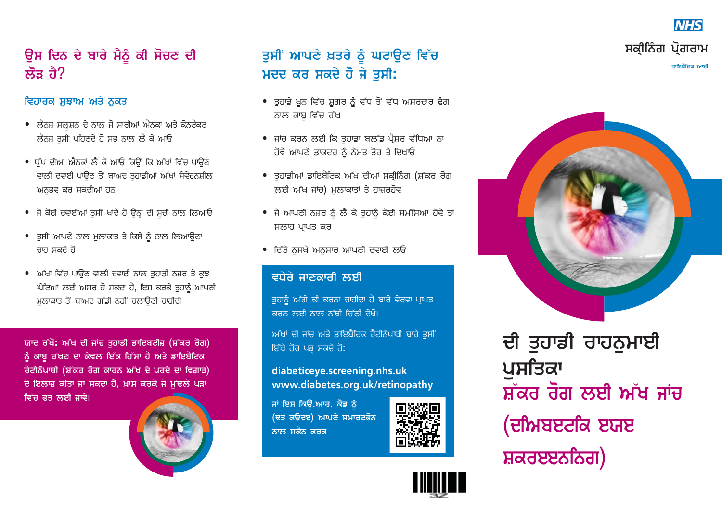## ਉਸ ਦਿਨ ਦੇ ਬਾਰੇ ਮੈਨੂੰ ਕੀ ਸੋਚਣ ਦੀ ਲੌਤ ਰੈ?

### ਵਿਹਾਰਕ ਸਝਾਅ ਅਤੇ ਨਕਤ

- ਲੈਨਜ਼ ਸਲੂਸ਼ਨ ਦੇ ਨਾਲ ਜੋ ਸਾਰੀਆਂ ਐਨਕਾਂ ਅਤੇ ਕੋਨਟੈਕਟ ਲੈਨਜ ਤੁਸੀਂ ਪਹਿਣਦੇ ਹੋ ਸਭ ਨਾਲ ਲੈ ਕੇ ਆਓ
- ਧੱਪ ਦੀਆਂ ਐਨਕਾਂ ਲੈ ਕੇ ਆਓ ਕਿਉਂ ਕਿ ਅੱਖਾਂ ਵਿੱਚ ਪਾਉਣ ਵਾਲੀ ਦਵਾਈ ਪਾਉਣ ਤੋਂ ਬਾਅਦ ਤਹਾਡੀਆਂ ਅੱਖਾਂ ਸੰਵੇਦਨਸ਼ੀਲ ਅਨੁਭਵ ਕਰ ਸਕਦੀਆਂ ਹਨ
- ਜੋ ਕੋਈ ਦਵਾਈਆਂ ਤੁਸੀਂ ਖਾਂਦੇ ਹੋ ਉਨ੍ਹਾਂ ਦੀ ਸੂਚੀ ਨਾਲ ਲਿਆਓ
- ਤੁਸੀਂ ਆਪਣੇ ਨਾਲ ਮੁਲਾਕਾਤ ਤੇ ਕਿਸੇ ਨੂੰ ਨਾਲ ਲਿਆਉਣਾ ਚਾਹ ਸਕਦੇ ਹੋ
- ਅੱਖਾਂ ਵਿੱਚ ਪਾਉਣ ਵਾਲੀ ਦਵਾਈ ਨਾਲ ਤਹਾਡੀ ਨਜ਼ਰ ਤੇ ਕੁਝ ਘੰਟਿਆਂ ਲਈ ਅਸਰ ਹੋ ਸਕਦਾ ਹੈ, ਇਸ ਕਰਕੇ ਤਹਾਨੂੰ ਆਪਣੀ ਮਲਾਕਾਤ ਤੋਂ ਬਾਅਦ ਗੱਡੀ ਨਹੀਂ ਚਲਾਉਣੀ ਚਾਹੀਦੀ

ਯਾਦ ਰੱਖੋ: ਅੱਖ ਦੀ ਜਾਂਚ ਤਹਾਡੀ ਡਾਇਬਟੀਜ਼ (ਸ਼ੱਕਰ ਰੋਗ) ਨੂੰ ਕਾਬੂ ਰੱਖਣ ਦਾ ਕੇਵਲ ਇੱਕ ਹਿੱਸਾ ਹੈ ਅਤੇ ਡਾਇਬੈਟਿਕ ਰੈਟੀਨੋਪਾਥੀ (ਸ਼ੱਕਰ ਰੋਗ ਕਾਰਨ ਅੱਖ ਦੇ ਪਰਦੇ ਦਾ ਵਿਗਾੜ) ਦੇ ਇਲਾਜ਼ ਕੀਤਾ ਜਾ ਸਕਦਾ ਹੈ, ਖ਼ਾਸ ਕਰਕੇ ਜੇ ਮੱਢਲੇ ਪੜਾ ਵਿੱਚ ਫਤ ਲਈ ਜਾਵੇ।



## ਤੁਸੀਂ ਆਪਣੇ ਖ਼ਤਰੇ ਨੂੰ ਘਟਾਉਣ ਵਿੱਚ ਮਦਦ ਕਰ ਸਕਦੇ ਹੋ ਜੇ ਤਸੀ:

- ਤੁਹਾਡੇ ਖ਼ੂਨ ਵਿੱਚ ਸ਼ੂਗਰ ਨੂੰ ਵੱਧ ਤੋਂ ਵੱਧ ਅਸਰਦਾਰ ਢੈਗ ਨਾਲ ਕਾਬ ਵਿੱਚ ਰੱਖ
- ਜਾਂਚ ਕਰਨ ਲਈ ਕਿ ਤਹਾਡਾ ਬਲੱਡ ਪੈਸ਼ਰ ਵੱਧਿਆ ਨਾ ਹੋਵੇ ਆਪਣੇ ਡਾਕਟਰ ਨੂੰ ਨੇਮਤ ਤੌਰ ਤੇ ਦਿਖਾਓ
- ਤਹਾਡੀਆਂ ਡਾਇਬੈਟਿਕ ਅੱਖ ਦੀਆਂ ਸਕੀਨਿੰਗ (ਸ਼ੱਕਰ ਰੋਗ ਲਈ ਅੱਖ ਜਾਂਚ) ਮੁਲਾਕਾਤਾਂ ਤੇ ਹਾਜ਼ਰਹੋਵ
- ਜੇ ਆਪਣੀ ਨਜ਼ਰ ਨੂੰ ਲੈ ਕੇ ਤੁਹਾਨੂੰ ਕੋਈ ਸਮੱਸਿਆ ਹੋਵੇ ਤਾਂ ਸਲਾਹ ਪਾਪਤ ਕਰ
- ਦਿੱਤੇ ਨਸਖੇ ਅਨਸਾਰ ਆਪਣੀ ਦਵਾਈ ਲਓ

### ਵਧੇਰੇ ਜਾਣਕਾਰੀ ਲਈ

ਤੁਹਾਨੂੰ ਅੱਗੇ ਕੀ ਕਰਨਾ ਚਾਹੀਦਾ ਹੈ ਬਾਰੇ ਵੇਰਵਾ ਪ੍ਰਾਪਤ ਕਰਨ ਲਈ ਨਾਲ ਨੱਥੀ ਜਿੱਨੀ ਦੇਖੋ।

ਅੱਖਾਂ ਦੀ ਜਾਂਚ ਅਤੇ ਡਾਇਬੈਟਿਕ ਰੈਟੀਨੋਪਾਥੀ ਬਾਰੇ ਤਸੀਂ ਇੱਥੇ ਹੋਰ ਪੜ ਸਕਦੇ ਹੋ:

diabeticeye.screening.nhs.uk www.diabetes.org.uk/retinopathy

ਜਾਂ ਇਸ ਕਿਉ.ਆਰ. ਕੋਡ ਨੂੰ (ਢੜ ਕਓਦੲ) ਆਪਣੇ ਸਮਾਰਟਫ਼ੋਨ ਨਾਲ ਸਕੈਨ ਕਰਕ





# ਸਕੀਨਿੰਗ ਪੋਗਰਾਮ ਡਾਇਬੈਟਿਕ ਆਈ

**NHS** 



ਦੀ ਤਹਾਡੀ ਰਾਹਨਮਾਈ ਪਸਤਿਕਾ ਸ਼ੱਕਰ ਰੋਗ ਲਈ ਅੱਖ ਜਾਂਚ (ਦੀਅਬੲਟਕਿ ੲਯੲ ਸ਼ਕਰੲੲਨਨਿਗ)